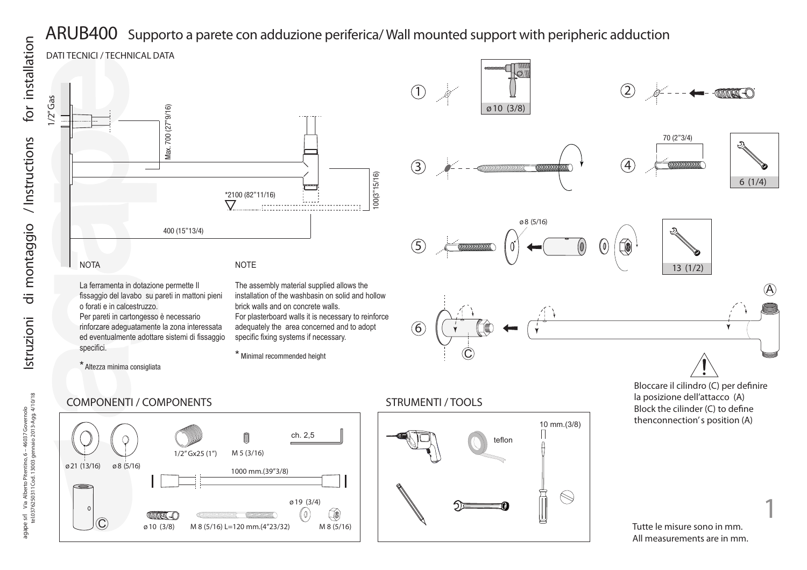

La ferramenta in dotazione permette Il fissaggio del lavabo su pareti in mattoni pieni o forati e in calcestruzzo. Per pareti in cartongesso è necessario rinforzare adeguatamente la zona interessata ed eventualmente adottare sistemi di fissaggio specifici.

The assembly material supplied allows the installation of the washbasin on solid and hollow brick walls and on concrete walls. For plasterboard walls it is necessary to reinforce adequately the area concerned and to adopt specific fixing systems if necessary.

\* Minimal recommended height



Bloccare il cilindro (C) per definire la posizione dell'attacco (A) Block the cilinder  $(C)$  to define thenconnection's position (A)

Tutte le misure sono in mm. All measurements are in mm. **1**

 $\mathcal{A}$ 

Istruzioni di montaggio

## COMPONENTI / COMPONENTS

\* Altezza minima consigliata



## STRUMENTI / TOOLS